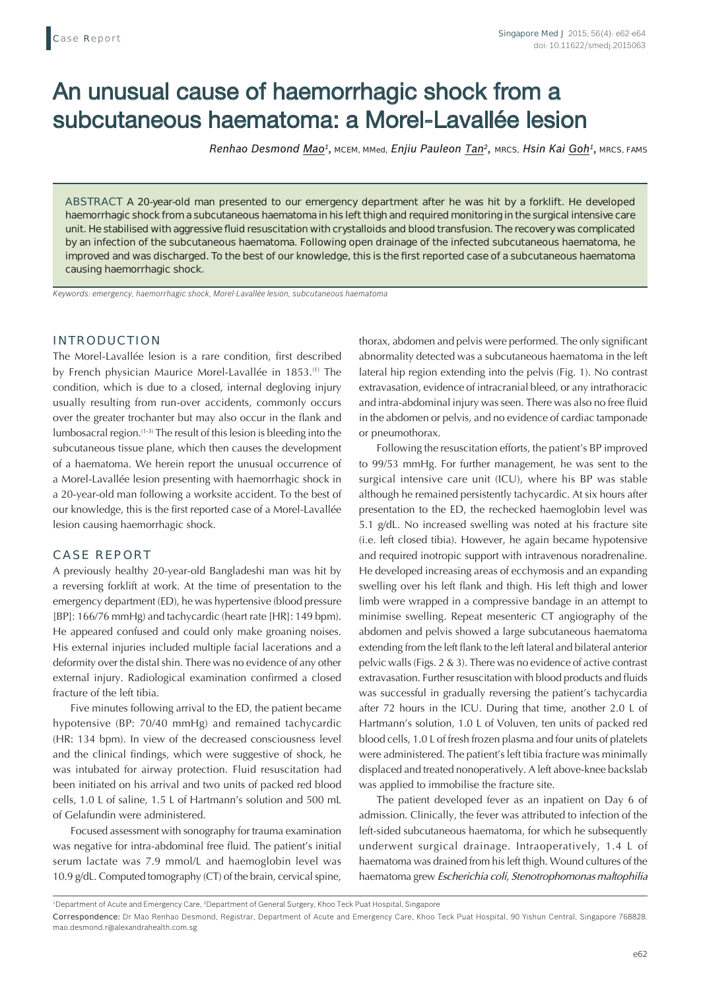# An unusual cause of haemorrhagic shock from a subcutaneous haematoma: a Morel-Lavallée lesion

*Renhao Desmond Mao1,* MCEM, MMed, *Enjiu Pauleon Tan2,* MRCS, *Hsin Kai Goh1,* MRCS, FAMS

**ABSTRACT** A 20-year-old man presented to our emergency department after he was hit by a forklift. He developed haemorrhagic shock from a subcutaneous haematoma in his left thigh and required monitoring in the surgical intensive care unit. He stabilised with aggressive fluid resuscitation with crystalloids and blood transfusion. The recovery was complicated by an infection of the subcutaneous haematoma. Following open drainage of the infected subcutaneous haematoma, he improved and was discharged. To the best of our knowledge, this is the first reported case of a subcutaneous haematoma causing haemorrhagic shock.

*Keywords: emergency, haemorrhagic shock, Morel-Lavallée lesion, subcutaneous haematoma*

## **INTRODUCTION**

The Morel-Lavallée lesion is a rare condition, first described by French physician Maurice Morel-Lavallée in 1853.<sup>(1)</sup> The condition, which is due to a closed, internal degloving injury usually resulting from run-over accidents, commonly occurs over the greater trochanter but may also occur in the flank and lumbosacral region.(1-3) The result of this lesion is bleeding into the subcutaneous tissue plane, which then causes the development of a haematoma. We herein report the unusual occurrence of a Morel-Lavallée lesion presenting with haemorrhagic shock in a 20-year-old man following a worksite accident. To the best of our knowledge, this is the first reported case of a Morel-Lavallée lesion causing haemorrhagic shock.

#### **CASE REPORT**

A previously healthy 20-year-old Bangladeshi man was hit by a reversing forklift at work. At the time of presentation to the emergency department (ED), he was hypertensive (blood pressure [BP]: 166/76 mmHg) and tachycardic (heart rate [HR]: 149 bpm). He appeared confused and could only make groaning noises. His external injuries included multiple facial lacerations and a deformity over the distal shin. There was no evidence of any other external injury. Radiological examination confirmed a closed fracture of the left tibia.

Five minutes following arrival to the ED, the patient became hypotensive (BP: 70/40 mmHg) and remained tachycardic (HR: 134 bpm). In view of the decreased consciousness level and the clinical findings, which were suggestive of shock, he was intubated for airway protection. Fluid resuscitation had been initiated on his arrival and two units of packed red blood cells, 1.0 L of saline, 1.5 L of Hartmann's solution and 500 mL of Gelafundin were administered.

Focused assessment with sonography for trauma examination was negative for intra-abdominal free fluid. The patient's initial serum lactate was 7.9 mmol/L and haemoglobin level was 10.9 g/dL. Computed tomography (CT) of the brain, cervical spine,

thorax, abdomen and pelvis were performed. The only significant abnormality detected was a subcutaneous haematoma in the left lateral hip region extending into the pelvis (Fig. 1). No contrast extravasation, evidence of intracranial bleed, or any intrathoracic and intra-abdominal injury was seen. There was also no free fluid in the abdomen or pelvis, and no evidence of cardiac tamponade or pneumothorax.

Following the resuscitation efforts, the patient's BP improved to 99/53 mmHg. For further management, he was sent to the surgical intensive care unit (ICU), where his BP was stable although he remained persistently tachycardic. At six hours after presentation to the ED, the rechecked haemoglobin level was 5.1 g/dL. No increased swelling was noted at his fracture site (i.e. left closed tibia). However, he again became hypotensive and required inotropic support with intravenous noradrenaline. He developed increasing areas of ecchymosis and an expanding swelling over his left flank and thigh. His left thigh and lower limb were wrapped in a compressive bandage in an attempt to minimise swelling. Repeat mesenteric CT angiography of the abdomen and pelvis showed a large subcutaneous haematoma extending from the left flank to the left lateral and bilateral anterior pelvic walls (Figs. 2 & 3). There was no evidence of active contrast extravasation. Further resuscitation with blood products and fluids was successful in gradually reversing the patient's tachycardia after 72 hours in the ICU. During that time, another 2.0 L of Hartmann's solution, 1.0 L of Voluven, ten units of packed red blood cells, 1.0 L of fresh frozen plasma and four units of platelets were administered. The patient's left tibia fracture was minimally displaced and treated nonoperatively. A left above-knee backslab was applied to immobilise the fracture site.

The patient developed fever as an inpatient on Day 6 of admission. Clinically, the fever was attributed to infection of the left-sided subcutaneous haematoma, for which he subsequently underwent surgical drainage. Intraoperatively, 1.4 L of haematoma was drained from his left thigh. Wound cultures of the haematoma grew *Escherichia coli*, *Stenotrophomonas maltophilia*

<sup>&</sup>lt;sup>1</sup>Department of Acute and Emergency Care, <sup>2</sup>Department of General Surgery, Khoo Teck Puat Hospital, Singapore

**Correspondence:** Dr Mao Renhao Desmond, Registrar, Department of Acute and Emergency Care, Khoo Teck Puat Hospital, 90 Yishun Central, Singapore 768828. mao.desmond.r@alexandrahealth.com.sg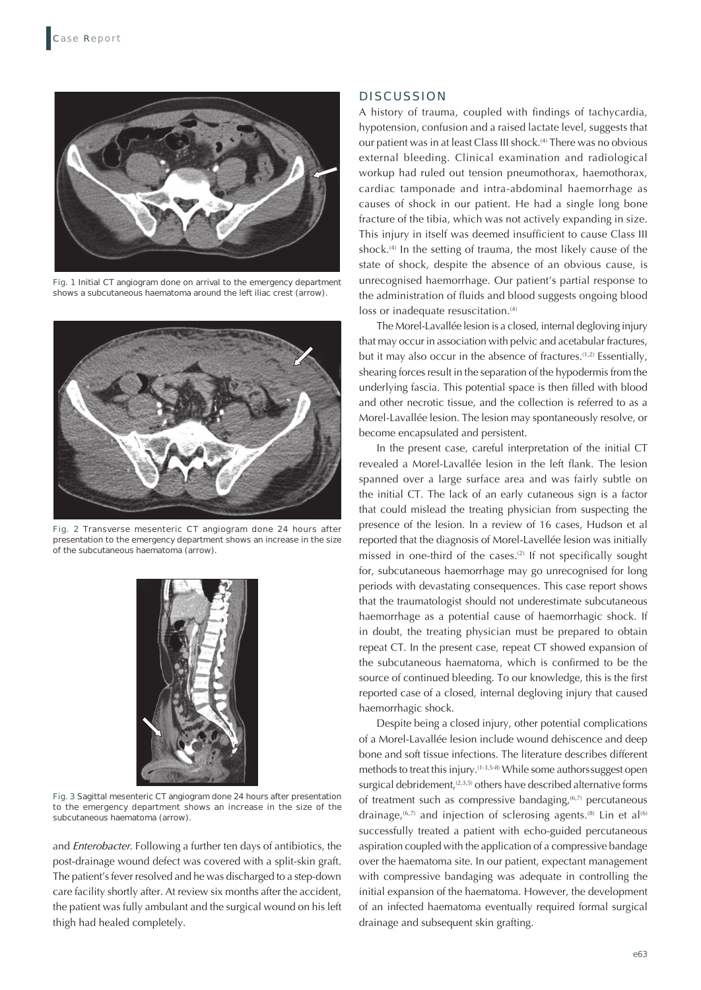

**Fig. 1** Initial CT angiogram done on arrival to the emergency department shows a subcutaneous haematoma around the left iliac crest (arrow).



**Fig. 2** Transverse mesenteric CT angiogram done 24 hours after presentation to the emergency department shows an increase in the size of the subcutaneous haematoma (arrow).



**Fig. 3** Sagittal mesenteric CT angiogram done 24 hours after presentation to the emergency department shows an increase in the size of the subcutaneous haematoma (arrow).

and *Enterobacter*. Following a further ten days of antibiotics, the post-drainage wound defect was covered with a split‑skin graft. The patient's fever resolved and he was discharged to a step-down care facility shortly after. At review six months after the accident, the patient was fully ambulant and the surgical wound on his left thigh had healed completely.

### **DISCUSSION**

A history of trauma, coupled with findings of tachycardia, hypotension, confusion and a raised lactate level, suggests that our patient was in at least Class III shock.<sup>(4)</sup> There was no obvious external bleeding. Clinical examination and radiological workup had ruled out tension pneumothorax, haemothorax, cardiac tamponade and intra-abdominal haemorrhage as causes of shock in our patient. He had a single long bone fracture of the tibia, which was not actively expanding in size. This injury in itself was deemed insufficient to cause Class III shock.<sup>(4)</sup> In the setting of trauma, the most likely cause of the state of shock, despite the absence of an obvious cause, is unrecognised haemorrhage. Our patient's partial response to the administration of fluids and blood suggests ongoing blood loss or inadequate resuscitation.<sup>(4)</sup>

The Morel-Lavallée lesion is a closed, internal degloving injury that may occur in association with pelvic and acetabular fractures, but it may also occur in the absence of fractures.<sup>(1,2)</sup> Essentially, shearing forces result in the separation of the hypodermis from the underlying fascia. This potential space is then filled with blood and other necrotic tissue, and the collection is referred to as a Morel-Lavallée lesion. The lesion may spontaneously resolve, or become encapsulated and persistent.

In the present case, careful interpretation of the initial CT revealed a Morel-Lavallée lesion in the left flank. The lesion spanned over a large surface area and was fairly subtle on the initial CT. The lack of an early cutaneous sign is a factor that could mislead the treating physician from suspecting the presence of the lesion. In a review of 16 cases, Hudson et al reported that the diagnosis of Morel-Lavellée lesion was initially missed in one-third of the cases.<sup>(2)</sup> If not specifically sought for, subcutaneous haemorrhage may go unrecognised for long periods with devastating consequences. This case report shows that the traumatologist should not underestimate subcutaneous haemorrhage as a potential cause of haemorrhagic shock. If in doubt, the treating physician must be prepared to obtain repeat CT. In the present case, repeat CT showed expansion of the subcutaneous haematoma, which is confirmed to be the source of continued bleeding. To our knowledge, this is the first reported case of a closed, internal degloving injury that caused haemorrhagic shock.

Despite being a closed injury, other potential complications of a Morel-Lavallée lesion include wound dehiscence and deep bone and soft tissue infections. The literature describes different methods to treat this injury.(1-3,5-8) While some authorssuggest open surgical debridement, $(2,3,5)$  others have described alternative forms of treatment such as compressive bandaging,<sup>(6,7)</sup> percutaneous drainage,<sup> $(6,7)$ </sup> and injection of sclerosing agents.<sup>(8)</sup> Lin et al<sup>(6)</sup> successfully treated a patient with echo-guided percutaneous aspiration coupled with the application of a compressive bandage over the haematoma site. In our patient, expectant management with compressive bandaging was adequate in controlling the initial expansion of the haematoma. However, the development of an infected haematoma eventually required formal surgical drainage and subsequent skin grafting.